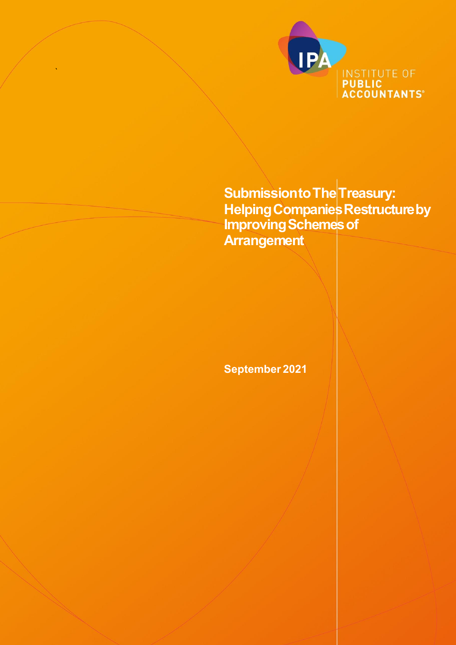

**Submission to The Treasury: Helping Companies Restructure by Improving Schemes of Arrangement** 

**September 2021**

`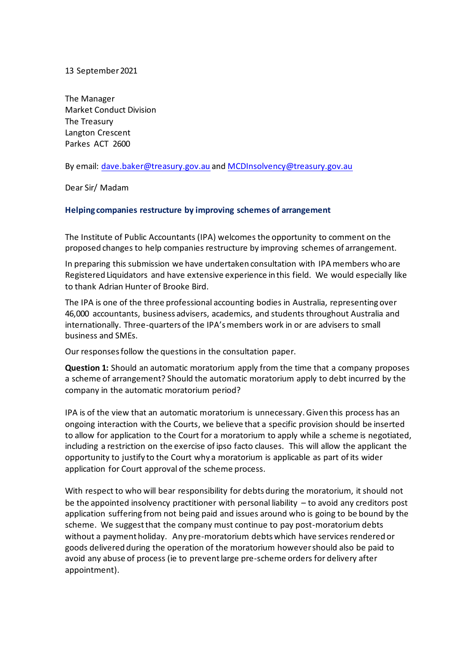## 13 September 2021

The Manager Market Conduct Division The Treasury Langton Crescent Parkes ACT 2600

By email: [dave.baker@treasury.gov.au](mailto:dave.baker@treasury.gov.au) and [MCDInsolvency@treasury.gov.au](mailto:MCDInsolvency@treasury.gov.au)

Dear Sir/ Madam

## **Helping companies restructure by improving schemes of arrangement**

The Institute of Public Accountants (IPA) welcomes the opportunity to comment on the proposed changes to help companies restructure by improving schemes of arrangement.

In preparing this submission we have undertaken consultation with IPA members who are Registered Liquidators and have extensive experience in this field. We would especially like to thank Adrian Hunter of Brooke Bird.

The IPA is one of the three professional accounting bodies in Australia, representing over 46,000 accountants, business advisers, academics, and students throughout Australia and internationally. Three-quarters of the IPA's members work in or are advisers to small business and SMEs.

Our responses follow the questions in the consultation paper.

**Question 1:** Should an automatic moratorium apply from the time that a company proposes a scheme of arrangement? Should the automatic moratorium apply to debt incurred by the company in the automatic moratorium period?

IPA is of the view that an automatic moratorium is unnecessary. Given this process has an ongoing interaction with the Courts, we believe that a specific provision should be inserted to allow for application to the Court for a moratorium to apply while a scheme is negotiated, including a restriction on the exercise of ipso facto clauses. This will allow the applicant the opportunity to justify to the Court why a moratorium is applicable as part of its wider application for Court approval of the scheme process.

With respect to who will bear responsibility for debts during the moratorium, it should not be the appointed insolvency practitioner with personal liability – to avoid any creditors post application suffering from not being paid and issues around who is going to be bound by the scheme. We suggest that the company must continue to pay post-moratorium debts without a payment holiday. Any pre-moratorium debts which have services rendered or goods delivered during the operation of the moratorium however should also be paid to avoid any abuse of process (ie to prevent large pre-scheme orders for delivery after appointment).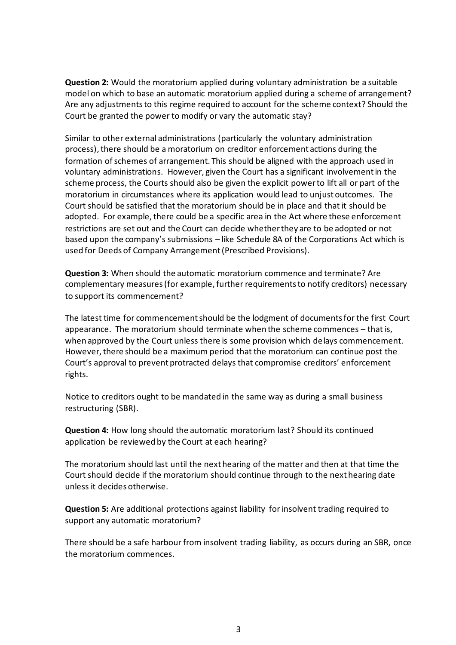**Question 2:** Would the moratorium applied during voluntary administration be a suitable model on which to base an automatic moratorium applied during a scheme of arrangement? Are any adjustments to this regime required to account for the scheme context? Should the Court be granted the power to modify or vary the automatic stay?

Similar to other external administrations (particularly the voluntary administration process), there should be a moratorium on creditor enforcement actions during the formation of schemes of arrangement. This should be aligned with the approach used in voluntary administrations. However, given the Court has a significant involvement in the scheme process, the Courts should also be given the explicit power to lift all or part of the moratorium in circumstances where its application would lead to unjust outcomes. The Court should be satisfied that the moratorium should be in place and that it should be adopted. For example, there could be a specific area in the Act where these enforcement restrictions are set out and the Court can decide whether they are to be adopted or not based upon the company's submissions – like Schedule 8A of the Corporations Act which is used for Deeds of Company Arrangement (Prescribed Provisions).

**Question 3:** When should the automatic moratorium commence and terminate? Are complementary measures (for example, further requirements to notify creditors) necessary to support its commencement?

The latest time for commencement should be the lodgment of documents for the first Court appearance. The moratorium should terminate when the scheme commences – that is, when approved by the Court unless there is some provision which delays commencement. However, there should be a maximum period that the moratorium can continue post the Court's approval to prevent protracted delays that compromise creditors' enforcement rights.

Notice to creditors ought to be mandated in the same way as during a small business restructuring (SBR).

**Question 4:** How long should the automatic moratorium last? Should its continued application be reviewed by the Court at each hearing?

The moratorium should last until the next hearing of the matter and then at that time the Court should decide if the moratorium should continue through to the next hearing date unless it decides otherwise.

**Question 5:** Are additional protections against liability for insolvent trading required to support any automatic moratorium?

There should be a safe harbour from insolvent trading liability, as occurs during an SBR, once the moratorium commences.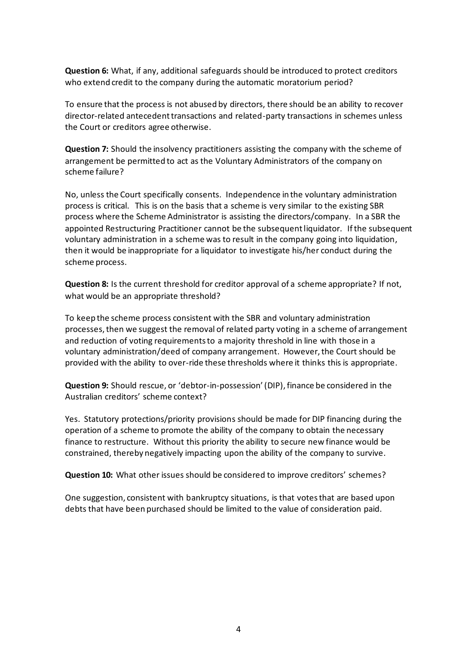**Question 6:** What, if any, additional safeguards should be introduced to protect creditors who extend credit to the company during the automatic moratorium period?

To ensure that the process is not abused by directors, there should be an ability to recover director-related antecedent transactions and related-party transactions in schemes unless the Court or creditors agree otherwise.

**Question 7:** Should the insolvency practitioners assisting the company with the scheme of arrangement be permitted to act as the Voluntary Administrators of the company on scheme failure?

No, unless the Court specifically consents. Independence in the voluntary administration process is critical. This is on the basis that a scheme is very similar to the existing SBR process where the Scheme Administrator is assisting the directors/company. In a SBR the appointed Restructuring Practitioner cannot be the subsequent liquidator. If the subsequent voluntary administration in a scheme was to result in the company going into liquidation, then it would be inappropriate for a liquidator to investigate his/her conduct during the scheme process.

**Question 8:** Is the current threshold for creditor approval of a scheme appropriate? If not, what would be an appropriate threshold?

To keep the scheme process consistent with the SBR and voluntary administration processes, then we suggest the removal of related party voting in a scheme of arrangement and reduction of voting requirements to a majority threshold in line with those in a voluntary administration/deed of company arrangement. However, the Court should be provided with the ability to over-ride these thresholds where it thinks this is appropriate.

**Question 9:** Should rescue, or 'debtor-in-possession' (DIP), finance be considered in the Australian creditors' scheme context?

Yes. Statutory protections/priority provisions should be made for DIP financing during the operation of a scheme to promote the ability of the company to obtain the necessary finance to restructure. Without this priority the ability to secure new finance would be constrained, thereby negatively impacting upon the ability of the company to survive.

**Question 10:** What other issues should be considered to improve creditors' schemes?

One suggestion, consistent with bankruptcy situations, is that votes that are based upon debts that have been purchased should be limited to the value of consideration paid.